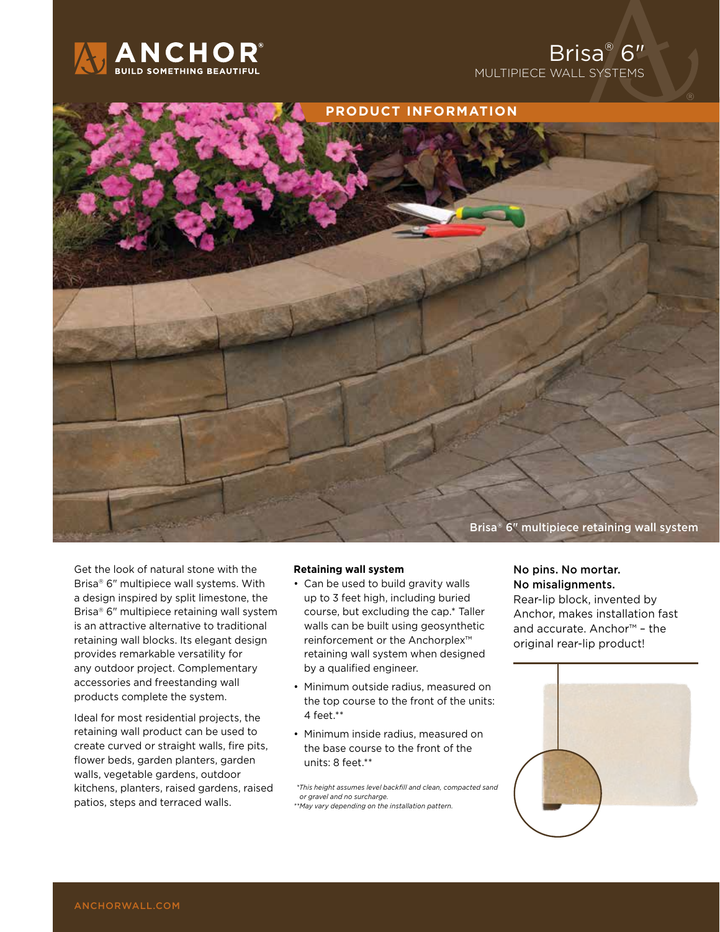





Get the look of natural stone with the Brisa® 6" multipiece wall systems. With a design inspired by split limestone, the Brisa® 6" multipiece retaining wall system is an attractive alternative to traditional retaining wall blocks. Its elegant design provides remarkable versatility for any outdoor project. Complementary accessories and freestanding wall products complete the system.

Ideal for most residential projects, the retaining wall product can be used to create curved or straight walls, fire pits, flower beds, garden planters, garden walls, vegetable gardens, outdoor kitchens, planters, raised gardens, raised patios, steps and terraced walls.

### **Retaining wall system**

- Can be used to build gravity walls up to 3 feet high, including buried course, but excluding the cap.\* Taller walls can be built using geosynthetic reinforcement or the Anchorplex™ retaining wall system when designed by a qualified engineer.
- Minimum outside radius, measured on the top course to the front of the units: 4 feet.\*\*
- Minimum inside radius, measured on the base course to the front of the units: 8 feet.\*\*

 *\*This height assumes level backfill and clean, compacted sand or gravel and no surcharge.*

*\*\*May vary depending on the installation pattern.*

### No pins. No mortar. No misalignments.

Rear-lip block, invented by Anchor, makes installation fast and accurate. Anchor™ – the original rear-lip product!